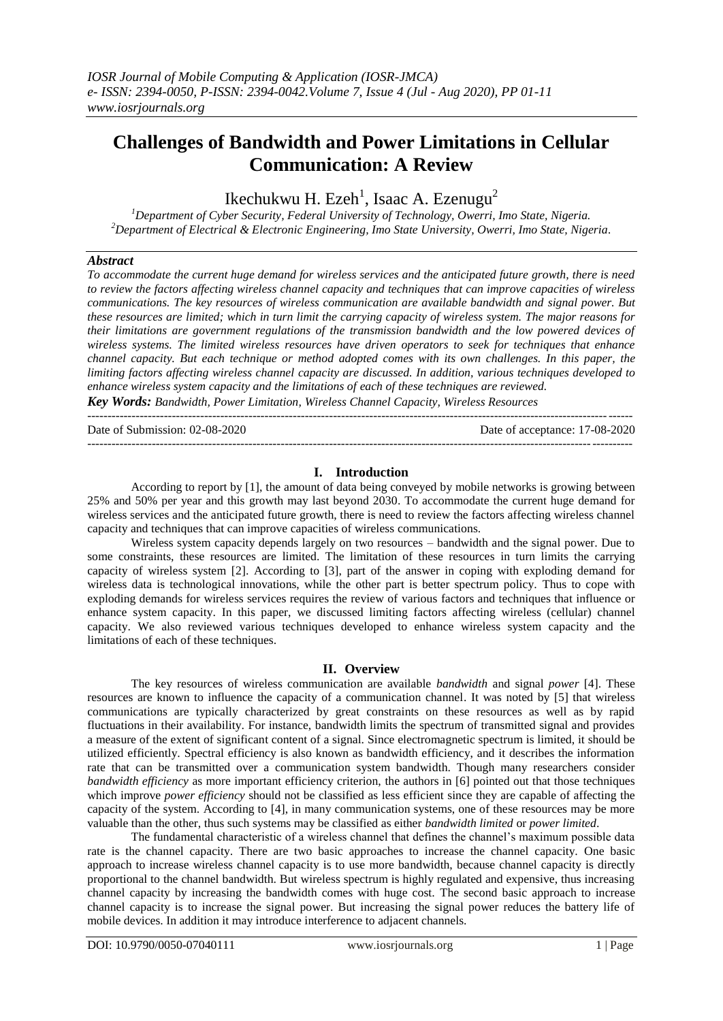# **Challenges of Bandwidth and Power Limitations in Cellular Communication: A Review**

Ikechukwu H. Ezeh $^1$ , Isaac A. Ezenugu $^2$ 

*<sup>1</sup>Department of Cyber Security, Federal University of Technology, Owerri, Imo State, Nigeria. <sup>2</sup>Department of Electrical & Electronic Engineering, Imo State University, Owerri, Imo State, Nigeria.*

#### *Abstract*

*To accommodate the current huge demand for wireless services and the anticipated future growth, there is need to review the factors affecting wireless channel capacity and techniques that can improve capacities of wireless communications. The key resources of wireless communication are available bandwidth and signal power. But these resources are limited; which in turn limit the carrying capacity of wireless system. The major reasons for their limitations are government regulations of the transmission bandwidth and the low powered devices of wireless systems. The limited wireless resources have driven operators to seek for techniques that enhance channel capacity. But each technique or method adopted comes with its own challenges. In this paper, the limiting factors affecting wireless channel capacity are discussed. In addition, various techniques developed to enhance wireless system capacity and the limitations of each of these techniques are reviewed.*

*Key Words: Bandwidth, Power Limitation, Wireless Channel Capacity, Wireless Resources* ---------------------------------------------------------------------------------------------------------------------------------------

Date of Submission: 02-08-2020 Date of acceptance: 17-08-2020 ---------------------------------------------------------------------------------------------------------------------------------------

#### **I. Introduction**

According to report by [1], the amount of data being conveyed by mobile networks is growing between 25% and 50% per year and this growth may last beyond 2030. To accommodate the current huge demand for wireless services and the anticipated future growth, there is need to review the factors affecting wireless channel capacity and techniques that can improve capacities of wireless communications.

Wireless system capacity depends largely on two resources – bandwidth and the signal power. Due to some constraints, these resources are limited. The limitation of these resources in turn limits the carrying capacity of wireless system [2]. According to [3], part of the answer in coping with exploding demand for wireless data is technological innovations, while the other part is better spectrum policy. Thus to cope with exploding demands for wireless services requires the review of various factors and techniques that influence or enhance system capacity. In this paper, we discussed limiting factors affecting wireless (cellular) channel capacity. We also reviewed various techniques developed to enhance wireless system capacity and the limitations of each of these techniques.

## **II. Overview**

The key resources of wireless communication are available *bandwidth* and signal *power* [4]. These resources are known to influence the capacity of a communication channel. It was noted by [5] that wireless communications are typically characterized by great constraints on these resources as well as by rapid fluctuations in their availability. For instance, bandwidth limits the spectrum of transmitted signal and provides a measure of the extent of significant content of a signal. Since electromagnetic spectrum is limited, it should be utilized efficiently. Spectral efficiency is also known as bandwidth efficiency, and it describes the information rate that can be transmitted over a communication system bandwidth. Though many researchers consider *bandwidth efficiency* as more important efficiency criterion, the authors in [6] pointed out that those techniques which improve *power efficiency* should not be classified as less efficient since they are capable of affecting the capacity of the system. According to [4], in many communication systems, one of these resources may be more valuable than the other, thus such systems may be classified as either *bandwidth limited* or *power limited*.

The fundamental characteristic of a wireless channel that defines the channel"s maximum possible data rate is the channel capacity. There are two basic approaches to increase the channel capacity. One basic approach to increase wireless channel capacity is to use more bandwidth, because channel capacity is directly proportional to the channel bandwidth. But wireless spectrum is highly regulated and expensive, thus increasing channel capacity by increasing the bandwidth comes with huge cost. The second basic approach to increase channel capacity is to increase the signal power. But increasing the signal power reduces the battery life of mobile devices. In addition it may introduce interference to adjacent channels.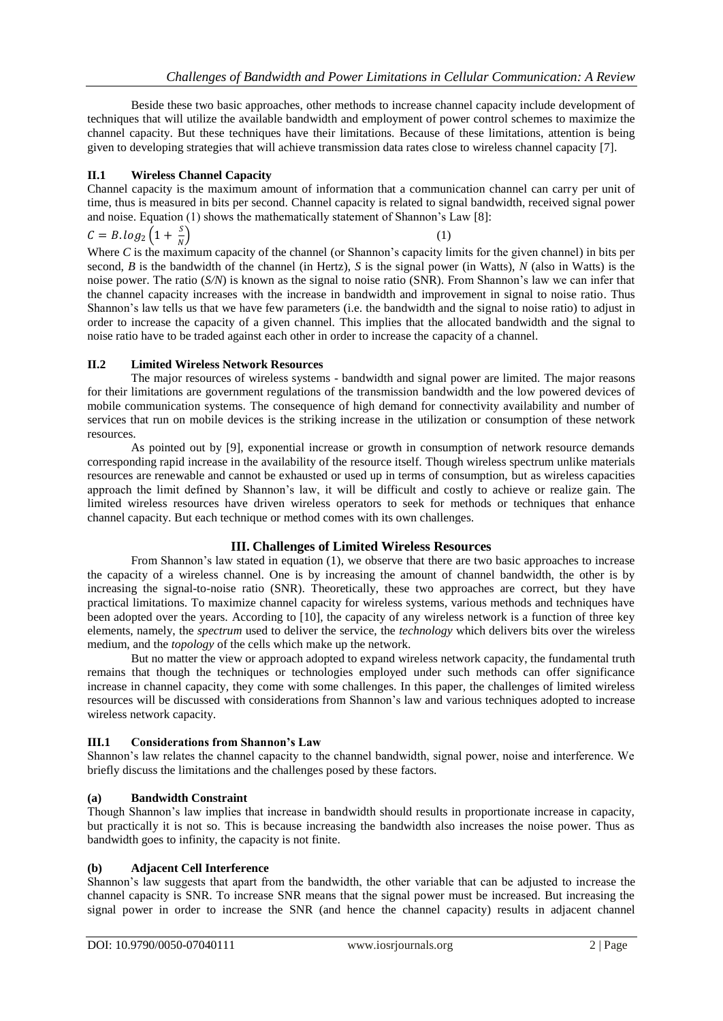Beside these two basic approaches, other methods to increase channel capacity include development of techniques that will utilize the available bandwidth and employment of power control schemes to maximize the channel capacity. But these techniques have their limitations. Because of these limitations, attention is being given to developing strategies that will achieve transmission data rates close to wireless channel capacity [7].

## **II.1 Wireless Channel Capacity**

Channel capacity is the maximum amount of information that a communication channel can carry per unit of time, thus is measured in bits per second. Channel capacity is related to signal bandwidth, received signal power and noise. Equation (1) shows the mathematically statement of Shannon's Law  $[8]$ :

 $C = B \cdot log_2 \left(1+\frac{S}{N}\right)$  $\boldsymbol{N}$  $\left(1\right)$ 

Where *C* is the maximum capacity of the channel (or Shannon's capacity limits for the given channel) in bits per second, *B* is the bandwidth of the channel (in Hertz), *S* is the signal power (in Watts), *N* (also in Watts) is the noise power. The ratio (*S/N*) is known as the signal to noise ratio (SNR). From Shannon's law we can infer that the channel capacity increases with the increase in bandwidth and improvement in signal to noise ratio. Thus Shannon"s law tells us that we have few parameters (i.e. the bandwidth and the signal to noise ratio) to adjust in order to increase the capacity of a given channel. This implies that the allocated bandwidth and the signal to noise ratio have to be traded against each other in order to increase the capacity of a channel.

#### **II.2 Limited Wireless Network Resources**

The major resources of wireless systems - bandwidth and signal power are limited. The major reasons for their limitations are government regulations of the transmission bandwidth and the low powered devices of mobile communication systems. The consequence of high demand for connectivity availability and number of services that run on mobile devices is the striking increase in the utilization or consumption of these network resources.

As pointed out by [9], exponential increase or growth in consumption of network resource demands corresponding rapid increase in the availability of the resource itself. Though wireless spectrum unlike materials resources are renewable and cannot be exhausted or used up in terms of consumption, but as wireless capacities approach the limit defined by Shannon"s law, it will be difficult and costly to achieve or realize gain. The limited wireless resources have driven wireless operators to seek for methods or techniques that enhance channel capacity. But each technique or method comes with its own challenges.

## **III. Challenges of Limited Wireless Resources**

From Shannon's law stated in equation (1), we observe that there are two basic approaches to increase the capacity of a wireless channel. One is by increasing the amount of channel bandwidth, the other is by increasing the signal-to-noise ratio (SNR). Theoretically, these two approaches are correct, but they have practical limitations. To maximize channel capacity for wireless systems, various methods and techniques have been adopted over the years. According to [10], the capacity of any wireless network is a function of three key elements, namely, the *spectrum* used to deliver the service, the *technology* which delivers bits over the wireless medium, and the *topology* of the cells which make up the network.

But no matter the view or approach adopted to expand wireless network capacity, the fundamental truth remains that though the techniques or technologies employed under such methods can offer significance increase in channel capacity, they come with some challenges. In this paper, the challenges of limited wireless resources will be discussed with considerations from Shannon"s law and various techniques adopted to increase wireless network capacity.

## **III.1 Considerations from Shannon's Law**

Shannon"s law relates the channel capacity to the channel bandwidth, signal power, noise and interference. We briefly discuss the limitations and the challenges posed by these factors.

## **(a) Bandwidth Constraint**

Though Shannon"s law implies that increase in bandwidth should results in proportionate increase in capacity, but practically it is not so. This is because increasing the bandwidth also increases the noise power. Thus as bandwidth goes to infinity, the capacity is not finite.

## **(b) Adjacent Cell Interference**

Shannon"s law suggests that apart from the bandwidth, the other variable that can be adjusted to increase the channel capacity is SNR. To increase SNR means that the signal power must be increased. But increasing the signal power in order to increase the SNR (and hence the channel capacity) results in adjacent channel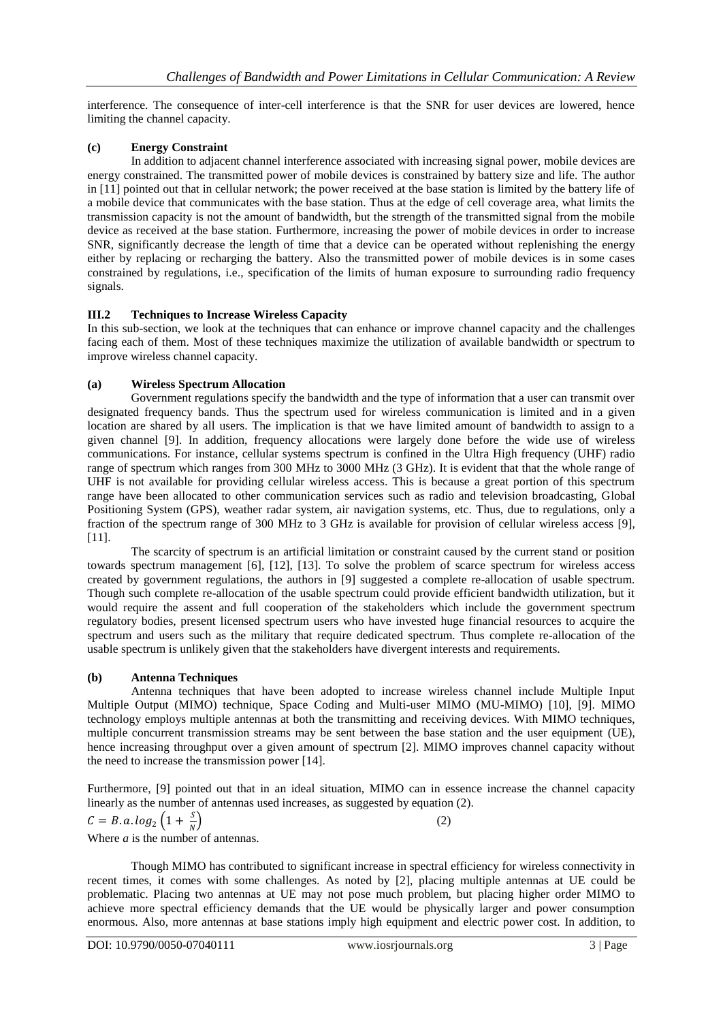interference. The consequence of inter-cell interference is that the SNR for user devices are lowered, hence limiting the channel capacity.

## **(c) Energy Constraint**

In addition to adjacent channel interference associated with increasing signal power, mobile devices are energy constrained. The transmitted power of mobile devices is constrained by battery size and life. The author in [11] pointed out that in cellular network; the power received at the base station is limited by the battery life of a mobile device that communicates with the base station. Thus at the edge of cell coverage area, what limits the transmission capacity is not the amount of bandwidth, but the strength of the transmitted signal from the mobile device as received at the base station. Furthermore, increasing the power of mobile devices in order to increase SNR, significantly decrease the length of time that a device can be operated without replenishing the energy either by replacing or recharging the battery. Also the transmitted power of mobile devices is in some cases constrained by regulations, i.e., specification of the limits of human exposure to surrounding radio frequency signals.

# **III.2 Techniques to Increase Wireless Capacity**

In this sub-section, we look at the techniques that can enhance or improve channel capacity and the challenges facing each of them. Most of these techniques maximize the utilization of available bandwidth or spectrum to improve wireless channel capacity.

## **(a) Wireless Spectrum Allocation**

Government regulations specify the bandwidth and the type of information that a user can transmit over designated frequency bands. Thus the spectrum used for wireless communication is limited and in a given location are shared by all users. The implication is that we have limited amount of bandwidth to assign to a given channel [9]. In addition, frequency allocations were largely done before the wide use of wireless communications. For instance, cellular systems spectrum is confined in the Ultra High frequency (UHF) radio range of spectrum which ranges from 300 MHz to 3000 MHz (3 GHz). It is evident that that the whole range of UHF is not available for providing cellular wireless access. This is because a great portion of this spectrum range have been allocated to other communication services such as radio and television broadcasting, Global Positioning System (GPS), weather radar system, air navigation systems, etc. Thus, due to regulations, only a fraction of the spectrum range of 300 MHz to 3 GHz is available for provision of cellular wireless access [9], [11].

The scarcity of spectrum is an artificial limitation or constraint caused by the current stand or position towards spectrum management [6], [12], [13]. To solve the problem of scarce spectrum for wireless access created by government regulations, the authors in [9] suggested a complete re-allocation of usable spectrum. Though such complete re-allocation of the usable spectrum could provide efficient bandwidth utilization, but it would require the assent and full cooperation of the stakeholders which include the government spectrum regulatory bodies, present licensed spectrum users who have invested huge financial resources to acquire the spectrum and users such as the military that require dedicated spectrum. Thus complete re-allocation of the usable spectrum is unlikely given that the stakeholders have divergent interests and requirements.

## **(b) Antenna Techniques**

Antenna techniques that have been adopted to increase wireless channel include Multiple Input Multiple Output (MIMO) technique, Space Coding and Multi-user MIMO (MU-MIMO) [10], [9]. MIMO technology employs multiple antennas at both the transmitting and receiving devices. With MIMO techniques, multiple concurrent transmission streams may be sent between the base station and the user equipment (UE), hence increasing throughput over a given amount of spectrum [2]. MIMO improves channel capacity without the need to increase the transmission power [14].

Furthermore, [9] pointed out that in an ideal situation, MIMO can in essence increase the channel capacity linearly as the number of antennas used increases, as suggested by equation (2).

$$
C = B. a. \log_2 \left( 1 + \frac{S}{N} \right) \tag{2}
$$

Where *a* is the number of antennas.

Though MIMO has contributed to significant increase in spectral efficiency for wireless connectivity in recent times, it comes with some challenges. As noted by [2], placing multiple antennas at UE could be problematic. Placing two antennas at UE may not pose much problem, but placing higher order MIMO to achieve more spectral efficiency demands that the UE would be physically larger and power consumption enormous. Also, more antennas at base stations imply high equipment and electric power cost. In addition, to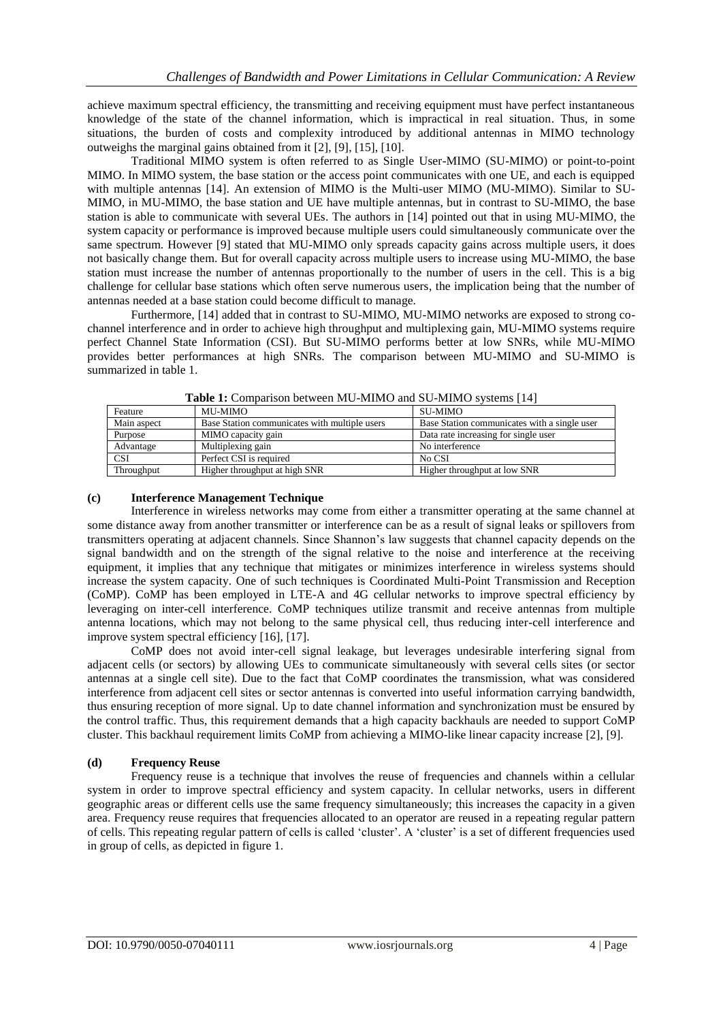achieve maximum spectral efficiency, the transmitting and receiving equipment must have perfect instantaneous knowledge of the state of the channel information, which is impractical in real situation. Thus, in some situations, the burden of costs and complexity introduced by additional antennas in MIMO technology outweighs the marginal gains obtained from it [2], [9], [15], [10].

Traditional MIMO system is often referred to as Single User-MIMO (SU-MIMO) or point-to-point MIMO. In MIMO system, the base station or the access point communicates with one UE, and each is equipped with multiple antennas [14]. An extension of MIMO is the Multi-user MIMO (MU-MIMO). Similar to SU-MIMO, in MU-MIMO, the base station and UE have multiple antennas, but in contrast to SU-MIMO, the base station is able to communicate with several UEs. The authors in [14] pointed out that in using MU-MIMO, the system capacity or performance is improved because multiple users could simultaneously communicate over the same spectrum. However [9] stated that MU-MIMO only spreads capacity gains across multiple users, it does not basically change them. But for overall capacity across multiple users to increase using MU-MIMO, the base station must increase the number of antennas proportionally to the number of users in the cell. This is a big challenge for cellular base stations which often serve numerous users, the implication being that the number of antennas needed at a base station could become difficult to manage.

Furthermore, [14] added that in contrast to SU-MIMO, MU-MIMO networks are exposed to strong cochannel interference and in order to achieve high throughput and multiplexing gain, MU-MIMO systems require perfect Channel State Information (CSI). But SU-MIMO performs better at low SNRs, while MU-MIMO provides better performances at high SNRs. The comparison between MU-MIMO and SU-MIMO is summarized in table 1.

| <b>THEIR TO COMPANY COUNCERTING INTEREST INTEREST PRODUCTION</b> |                                               |                                              |  |  |
|------------------------------------------------------------------|-----------------------------------------------|----------------------------------------------|--|--|
| Feature                                                          | MU-MIMO                                       | SU-MIMO                                      |  |  |
| Main aspect                                                      | Base Station communicates with multiple users | Base Station communicates with a single user |  |  |
| Purpose                                                          | MIMO capacity gain                            | Data rate increasing for single user         |  |  |
| Advantage                                                        | Multiplexing gain                             | No interference                              |  |  |
| <b>CSI</b>                                                       | Perfect CSI is required                       | No CSI                                       |  |  |
| Throughput                                                       | Higher throughput at high SNR                 | Higher throughput at low SNR                 |  |  |

**Table 1:** Comparison between MU-MIMO and SU-MIMO systems [14]

## **(c) Interference Management Technique**

Interference in wireless networks may come from either a transmitter operating at the same channel at some distance away from another transmitter or interference can be as a result of signal leaks or spillovers from transmitters operating at adjacent channels. Since Shannon"s law suggests that channel capacity depends on the signal bandwidth and on the strength of the signal relative to the noise and interference at the receiving equipment, it implies that any technique that mitigates or minimizes interference in wireless systems should increase the system capacity. One of such techniques is Coordinated Multi-Point Transmission and Reception (CoMP). CoMP has been employed in LTE-A and 4G cellular networks to improve spectral efficiency by leveraging on inter-cell interference. CoMP techniques utilize transmit and receive antennas from multiple antenna locations, which may not belong to the same physical cell, thus reducing inter-cell interference and improve system spectral efficiency [16], [17].

CoMP does not avoid inter-cell signal leakage, but leverages undesirable interfering signal from adjacent cells (or sectors) by allowing UEs to communicate simultaneously with several cells sites (or sector antennas at a single cell site). Due to the fact that CoMP coordinates the transmission, what was considered interference from adjacent cell sites or sector antennas is converted into useful information carrying bandwidth, thus ensuring reception of more signal. Up to date channel information and synchronization must be ensured by the control traffic. Thus, this requirement demands that a high capacity backhauls are needed to support CoMP cluster. This backhaul requirement limits CoMP from achieving a MIMO-like linear capacity increase [2], [9].

## **(d) Frequency Reuse**

Frequency reuse is a technique that involves the reuse of frequencies and channels within a cellular system in order to improve spectral efficiency and system capacity. In cellular networks, users in different geographic areas or different cells use the same frequency simultaneously; this increases the capacity in a given area. Frequency reuse requires that frequencies allocated to an operator are reused in a repeating regular pattern of cells. This repeating regular pattern of cells is called "cluster". A "cluster" is a set of different frequencies used in group of cells, as depicted in figure 1.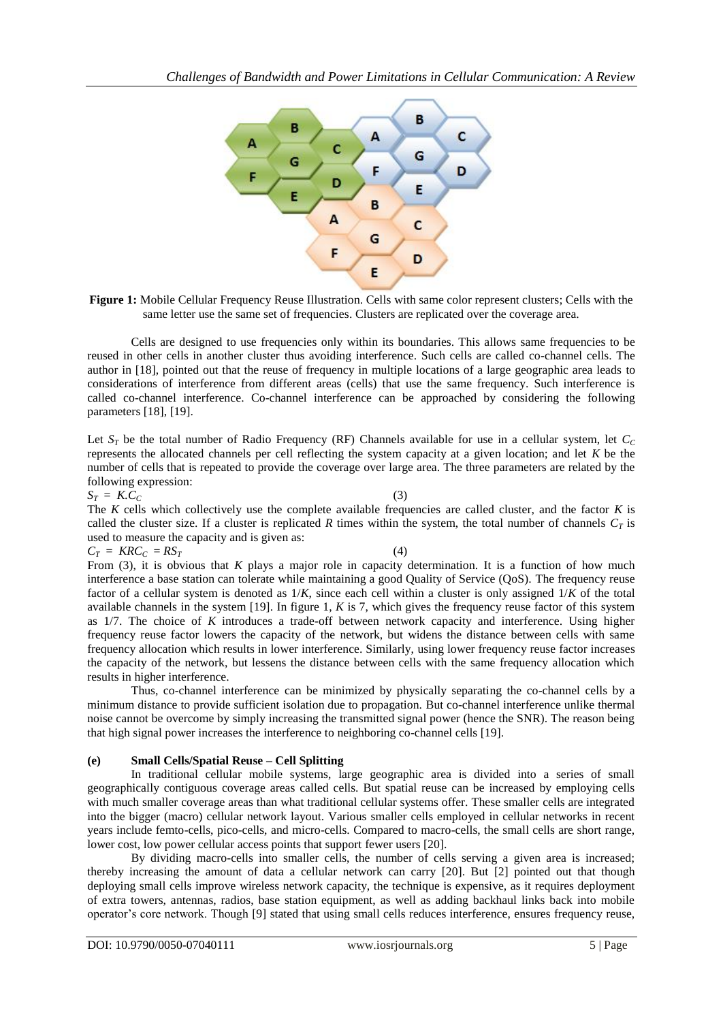

**Figure 1:** Mobile Cellular Frequency Reuse Illustration. Cells with same color represent clusters: Cells with the same letter use the same set of frequencies. Clusters are replicated over the coverage area.

Cells are designed to use frequencies only within its boundaries. This allows same frequencies to be reused in other cells in another cluster thus avoiding interference. Such cells are called co-channel cells. The author in [18], pointed out that the reuse of frequency in multiple locations of a large geographic area leads to considerations of interference from different areas (cells) that use the same frequency. Such interference is called co-channel interference. Co-channel interference can be approached by considering the following parameters [18], [19].

Let  $S_T$  be the total number of Radio Frequency (RF) Channels available for use in a cellular system, let  $C_C$ represents the allocated channels per cell reflecting the system capacity at a given location; and let *K* be the number of cells that is repeated to provide the coverage over large area. The three parameters are related by the following expression:

 $S_T = K.C_C$  (3)

The *K* cells which collectively use the complete available frequencies are called cluster, and the factor *K* is called the cluster size. If a cluster is replicated *R* times within the system, the total number of channels  $C_T$  is used to measure the capacity and is given as:

 $C_T = KRC_C = RS_T$  (4)

From (3), it is obvious that *K* plays a major role in capacity determination. It is a function of how much interference a base station can tolerate while maintaining a good Quality of Service (QoS). The frequency reuse factor of a cellular system is denoted as 1/*K*, since each cell within a cluster is only assigned 1/*K* of the total available channels in the system [19]. In figure 1, *K* is 7, which gives the frequency reuse factor of this system as 1/7. The choice of *K* introduces a trade-off between network capacity and interference. Using higher frequency reuse factor lowers the capacity of the network, but widens the distance between cells with same frequency allocation which results in lower interference. Similarly, using lower frequency reuse factor increases the capacity of the network, but lessens the distance between cells with the same frequency allocation which results in higher interference.

Thus, co-channel interference can be minimized by physically separating the co-channel cells by a minimum distance to provide sufficient isolation due to propagation. But co-channel interference unlike thermal noise cannot be overcome by simply increasing the transmitted signal power (hence the SNR). The reason being that high signal power increases the interference to neighboring co-channel cells [19].

## **(e) Small Cells/Spatial Reuse – Cell Splitting**

In traditional cellular mobile systems, large geographic area is divided into a series of small geographically contiguous coverage areas called cells. But spatial reuse can be increased by employing cells with much smaller coverage areas than what traditional cellular systems offer. These smaller cells are integrated into the bigger (macro) cellular network layout. Various smaller cells employed in cellular networks in recent years include femto-cells, pico-cells, and micro-cells. Compared to macro-cells, the small cells are short range, lower cost, low power cellular access points that support fewer users [20].

By dividing macro-cells into smaller cells, the number of cells serving a given area is increased; thereby increasing the amount of data a cellular network can carry [20]. But [2] pointed out that though deploying small cells improve wireless network capacity, the technique is expensive, as it requires deployment of extra towers, antennas, radios, base station equipment, as well as adding backhaul links back into mobile operator"s core network. Though [9] stated that using small cells reduces interference, ensures frequency reuse,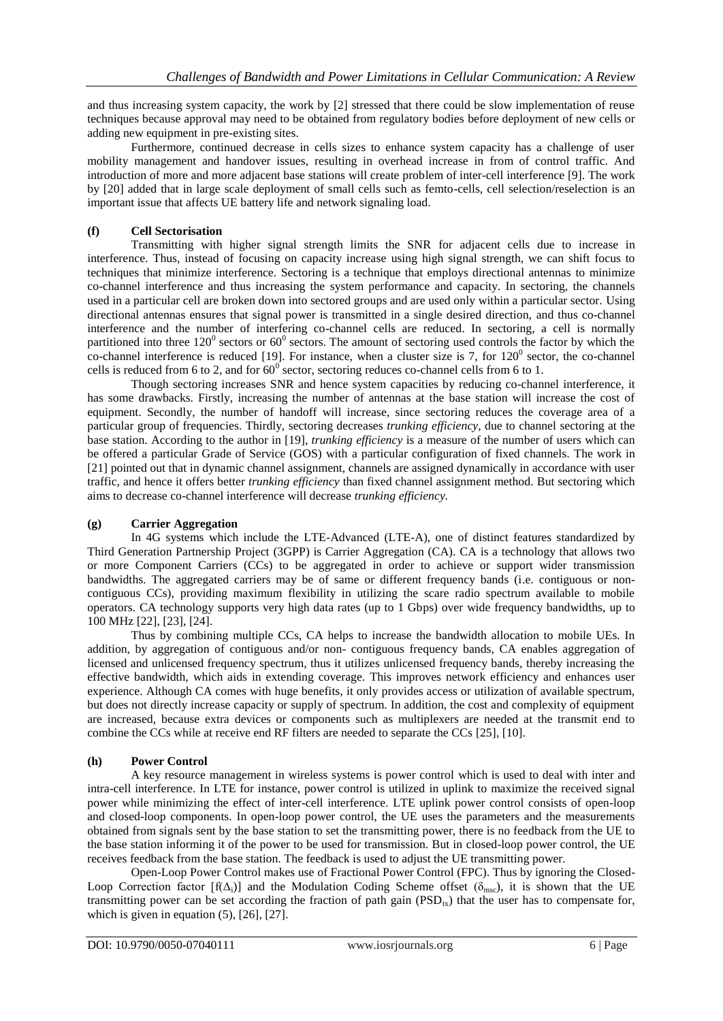and thus increasing system capacity, the work by [2] stressed that there could be slow implementation of reuse techniques because approval may need to be obtained from regulatory bodies before deployment of new cells or adding new equipment in pre-existing sites.

Furthermore, continued decrease in cells sizes to enhance system capacity has a challenge of user mobility management and handover issues, resulting in overhead increase in from of control traffic. And introduction of more and more adjacent base stations will create problem of inter-cell interference [9]. The work by [20] added that in large scale deployment of small cells such as femto-cells, cell selection/reselection is an important issue that affects UE battery life and network signaling load.

# **(f) Cell Sectorisation**

Transmitting with higher signal strength limits the SNR for adjacent cells due to increase in interference. Thus, instead of focusing on capacity increase using high signal strength, we can shift focus to techniques that minimize interference. Sectoring is a technique that employs directional antennas to minimize co-channel interference and thus increasing the system performance and capacity. In sectoring, the channels used in a particular cell are broken down into sectored groups and are used only within a particular sector. Using directional antennas ensures that signal power is transmitted in a single desired direction, and thus co-channel interference and the number of interfering co-channel cells are reduced. In sectoring, a cell is normally partitioned into three  $120^{\circ}$  sectors or 60<sup>°</sup> sectors. The amount of sectoring used controls the factor by which the co-channel interference is reduced [19]. For instance, when a cluster size is 7, for  $120^{\circ}$  sector, the co-channel cells is reduced from 6 to 2, and for  $60^{\circ}$  sector, sectoring reduces co-channel cells from 6 to 1.

Though sectoring increases SNR and hence system capacities by reducing co-channel interference, it has some drawbacks. Firstly, increasing the number of antennas at the base station will increase the cost of equipment. Secondly, the number of handoff will increase, since sectoring reduces the coverage area of a particular group of frequencies. Thirdly, sectoring decreases *trunking efficiency*, due to channel sectoring at the base station. According to the author in [19], *trunking efficiency* is a measure of the number of users which can be offered a particular Grade of Service (GOS) with a particular configuration of fixed channels. The work in [21] pointed out that in dynamic channel assignment, channels are assigned dynamically in accordance with user traffic, and hence it offers better *trunking efficiency* than fixed channel assignment method. But sectoring which aims to decrease co-channel interference will decrease *trunking efficiency.*

## **(g) Carrier Aggregation**

In 4G systems which include the LTE-Advanced (LTE-A), one of distinct features standardized by Third Generation Partnership Project (3GPP) is Carrier Aggregation (CA). CA is a technology that allows two or more Component Carriers (CCs) to be aggregated in order to achieve or support wider transmission bandwidths. The aggregated carriers may be of same or different frequency bands (i.e. contiguous or noncontiguous CCs), providing maximum flexibility in utilizing the scare radio spectrum available to mobile operators. CA technology supports very high data rates (up to 1 Gbps) over wide frequency bandwidths, up to 100 MHz [22], [23], [24].

Thus by combining multiple CCs, CA helps to increase the bandwidth allocation to mobile UEs. In addition, by aggregation of contiguous and/or non- contiguous frequency bands, CA enables aggregation of licensed and unlicensed frequency spectrum, thus it utilizes unlicensed frequency bands, thereby increasing the effective bandwidth, which aids in extending coverage. This improves network efficiency and enhances user experience. Although CA comes with huge benefits, it only provides access or utilization of available spectrum, but does not directly increase capacity or supply of spectrum. In addition, the cost and complexity of equipment are increased, because extra devices or components such as multiplexers are needed at the transmit end to combine the CCs while at receive end RF filters are needed to separate the CCs [25], [10].

# **(h) Power Control**

A key resource management in wireless systems is power control which is used to deal with inter and intra-cell interference. In LTE for instance, power control is utilized in uplink to maximize the received signal power while minimizing the effect of inter-cell interference. LTE uplink power control consists of open-loop and closed-loop components. In open-loop power control, the UE uses the parameters and the measurements obtained from signals sent by the base station to set the transmitting power, there is no feedback from the UE to the base station informing it of the power to be used for transmission. But in closed-loop power control, the UE receives feedback from the base station. The feedback is used to adjust the UE transmitting power.

Open-Loop Power Control makes use of Fractional Power Control (FPC). Thus by ignoring the Closed-Loop Correction factor  $[f(\Delta_i)]$  and the Modulation Coding Scheme offset ( $\delta_{\text{mse}}$ ), it is shown that the UE transmitting power can be set according the fraction of path gain  $(PSD_{tx})$  that the user has to compensate for, which is given in equation  $(5)$ ,  $[26]$ ,  $[27]$ .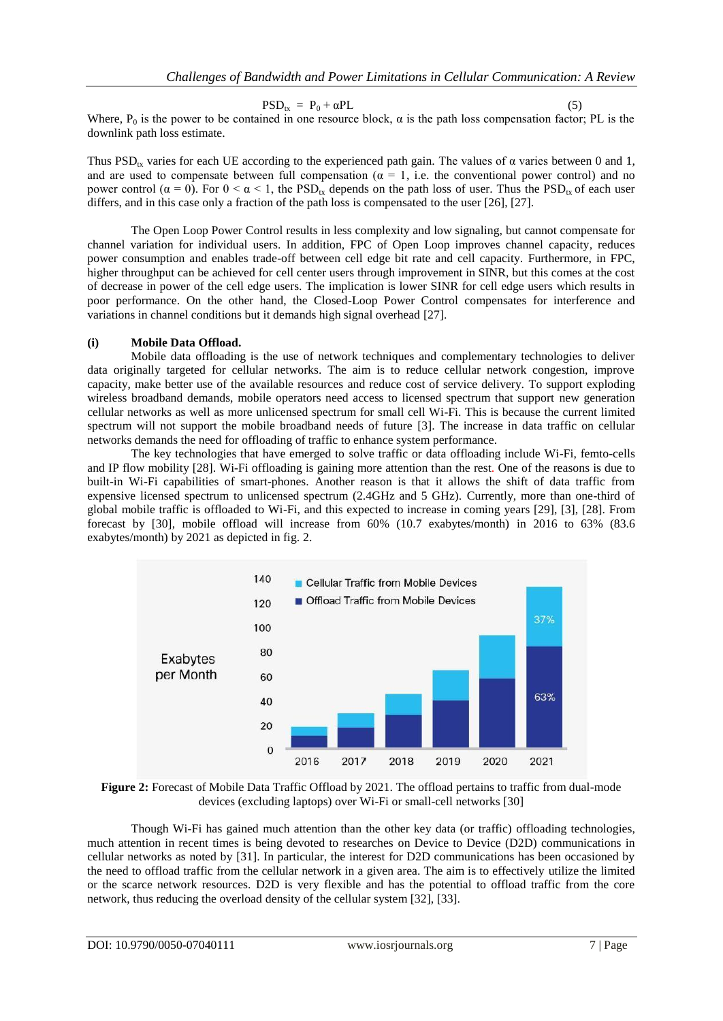$PSD_{tx} = P_0 + \alpha PL$ 

Where,  $P_0$  is the power to be contained in one resource block,  $\alpha$  is the path loss compensation factor; PL is the downlink path loss estimate.

Thus PSD<sub>tx</sub> varies for each UE according to the experienced path gain. The values of  $\alpha$  varies between 0 and 1, and are used to compensate between full compensation ( $\alpha = 1$ , i.e. the conventional power control) and no power control ( $α = 0$ ). For  $0 < α < 1$ , the PSD<sub>tx</sub> depends on the path loss of user. Thus the PSD<sub>tx</sub> of each user differs, and in this case only a fraction of the path loss is compensated to the user [26], [27].

The Open Loop Power Control results in less complexity and low signaling, but cannot compensate for channel variation for individual users. In addition, FPC of Open Loop improves channel capacity, reduces power consumption and enables trade-off between cell edge bit rate and cell capacity. Furthermore, in FPC, higher throughput can be achieved for cell center users through improvement in SINR, but this comes at the cost of decrease in power of the cell edge users. The implication is lower SINR for cell edge users which results in poor performance. On the other hand, the Closed-Loop Power Control compensates for interference and variations in channel conditions but it demands high signal overhead [27].

#### **(i) Mobile Data Offload.**

Mobile data offloading is the use of network techniques and complementary technologies to deliver data originally targeted for cellular networks. The aim is to reduce cellular network congestion, improve capacity, make better use of the available resources and reduce cost of service delivery. To support exploding wireless broadband demands, mobile operators need access to licensed spectrum that support new generation cellular networks as well as more unlicensed spectrum for small cell Wi-Fi. This is because the current limited spectrum will not support the mobile broadband needs of future [3]. The increase in data traffic on cellular networks demands the need for offloading of traffic to enhance system performance.

The key technologies that have emerged to solve traffic or data offloading include Wi-Fi, femto-cells and IP flow mobility [28]. Wi-Fi offloading is gaining more attention than the rest. One of the reasons is due to built-in Wi-Fi capabilities of smart-phones. Another reason is that it allows the shift of data traffic from expensive licensed spectrum to unlicensed spectrum (2.4GHz and 5 GHz). Currently, more than one-third of global mobile traffic is offloaded to Wi-Fi, and this expected to increase in coming years [29], [3], [28]. From forecast by [30], mobile offload will increase from 60% (10.7 exabytes/month) in 2016 to 63% (83.6 exabytes/month) by 2021 as depicted in fig. 2.



**Figure 2:** Forecast of Mobile Data Traffic Offload by 2021. The offload pertains to traffic from dual-mode devices (excluding laptops) over Wi-Fi or small-cell networks [30]

Though Wi-Fi has gained much attention than the other key data (or traffic) offloading technologies, much attention in recent times is being devoted to researches on Device to Device (D2D) communications in cellular networks as noted by [31]. In particular, the interest for D2D communications has been occasioned by the need to offload traffic from the cellular network in a given area. The aim is to effectively utilize the limited or the scarce network resources. D2D is very flexible and has the potential to offload traffic from the core network, thus reducing the overload density of the cellular system [32], [33].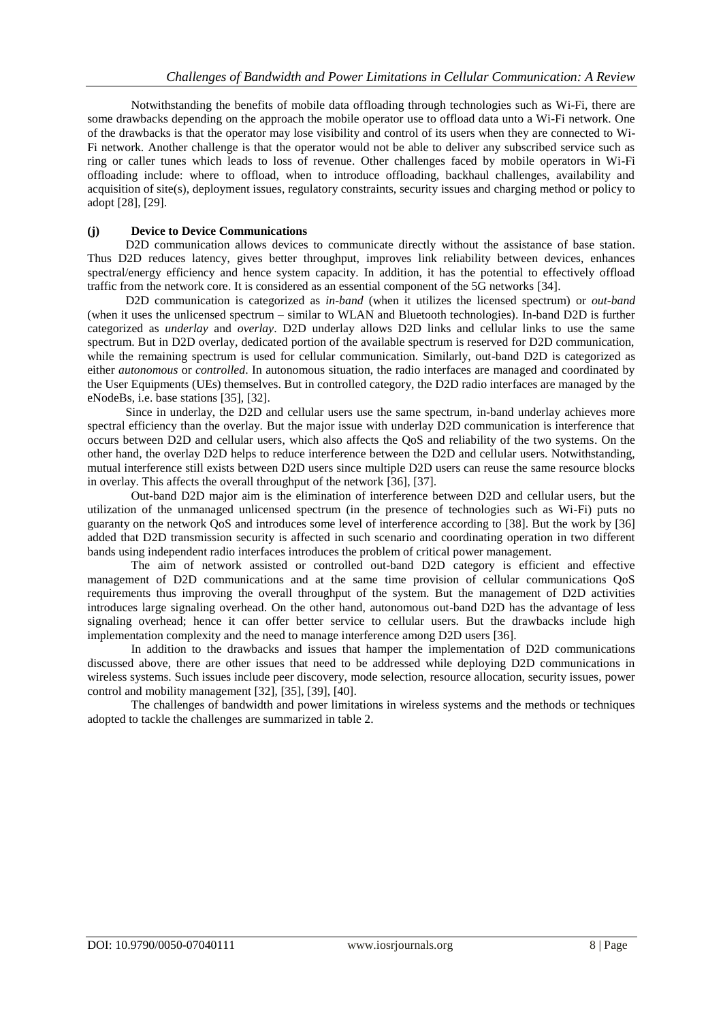Notwithstanding the benefits of mobile data offloading through technologies such as Wi-Fi, there are some drawbacks depending on the approach the mobile operator use to offload data unto a Wi-Fi network. One of the drawbacks is that the operator may lose visibility and control of its users when they are connected to Wi-Fi network. Another challenge is that the operator would not be able to deliver any subscribed service such as ring or caller tunes which leads to loss of revenue. Other challenges faced by mobile operators in Wi-Fi offloading include: where to offload, when to introduce offloading, backhaul challenges, availability and acquisition of site(s), deployment issues, regulatory constraints, security issues and charging method or policy to adopt [28], [29].

#### **(j) Device to Device Communications**

D2D communication allows devices to communicate directly without the assistance of base station. Thus D2D reduces latency, gives better throughput, improves link reliability between devices, enhances spectral/energy efficiency and hence system capacity. In addition, it has the potential to effectively offload traffic from the network core. It is considered as an essential component of the 5G networks [34].

D2D communication is categorized as *in-band* (when it utilizes the licensed spectrum) or *out-band* (when it uses the unlicensed spectrum – similar to WLAN and Bluetooth technologies). In-band D2D is further categorized as *underlay* and *overlay*. D2D underlay allows D2D links and cellular links to use the same spectrum. But in D2D overlay, dedicated portion of the available spectrum is reserved for D2D communication, while the remaining spectrum is used for cellular communication. Similarly, out-band D2D is categorized as either *autonomous* or *controlled*. In autonomous situation, the radio interfaces are managed and coordinated by the User Equipments (UEs) themselves. But in controlled category, the D2D radio interfaces are managed by the eNodeBs, i.e. base stations [35], [32].

Since in underlay, the D2D and cellular users use the same spectrum, in-band underlay achieves more spectral efficiency than the overlay. But the major issue with underlay D2D communication is interference that occurs between D2D and cellular users, which also affects the QoS and reliability of the two systems. On the other hand, the overlay D2D helps to reduce interference between the D2D and cellular users. Notwithstanding, mutual interference still exists between D2D users since multiple D2D users can reuse the same resource blocks in overlay. This affects the overall throughput of the network [36], [37].

Out-band D2D major aim is the elimination of interference between D2D and cellular users, but the utilization of the unmanaged unlicensed spectrum (in the presence of technologies such as Wi-Fi) puts no guaranty on the network QoS and introduces some level of interference according to [38]. But the work by [36] added that D2D transmission security is affected in such scenario and coordinating operation in two different bands using independent radio interfaces introduces the problem of critical power management.

The aim of network assisted or controlled out-band D2D category is efficient and effective management of D2D communications and at the same time provision of cellular communications QoS requirements thus improving the overall throughput of the system. But the management of D2D activities introduces large signaling overhead. On the other hand, autonomous out-band D2D has the advantage of less signaling overhead; hence it can offer better service to cellular users. But the drawbacks include high implementation complexity and the need to manage interference among D2D users [36].

In addition to the drawbacks and issues that hamper the implementation of D2D communications discussed above, there are other issues that need to be addressed while deploying D2D communications in wireless systems. Such issues include peer discovery, mode selection, resource allocation, security issues, power control and mobility management [32], [35], [39], [40].

The challenges of bandwidth and power limitations in wireless systems and the methods or techniques adopted to tackle the challenges are summarized in table 2.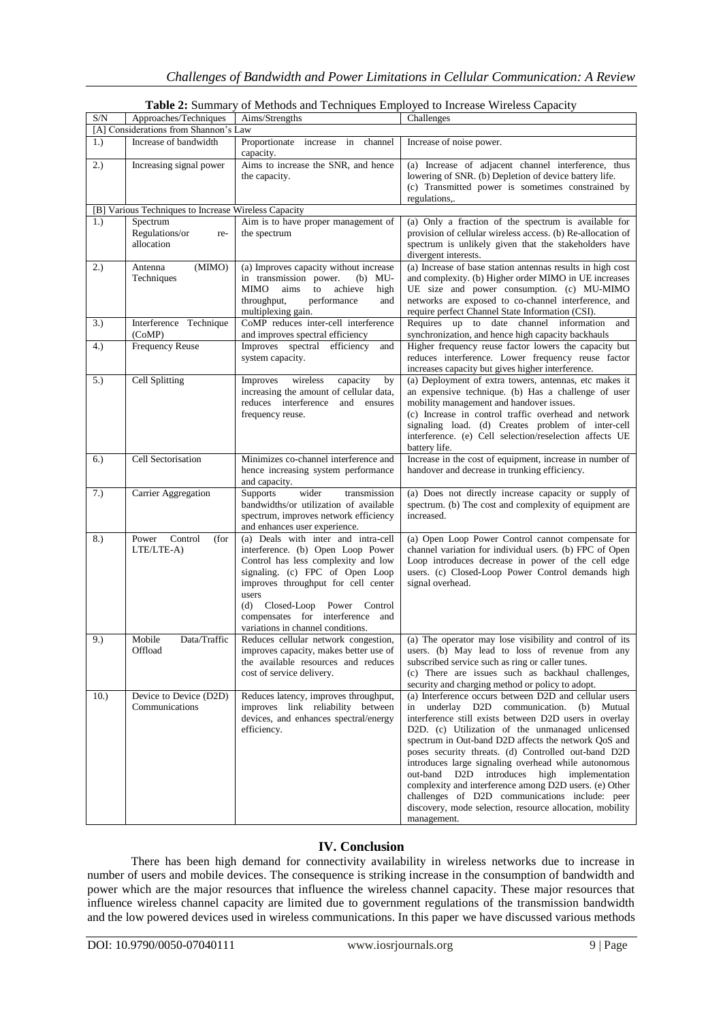| S/N  | Approaches/Techniques                                | Aims/Strengths                                                                                                                                                                                                                                                                                                        | Challenges                                                                                                                                                                                                                                                                                                                                                                                                                                                                                                                                                                                                                              |
|------|------------------------------------------------------|-----------------------------------------------------------------------------------------------------------------------------------------------------------------------------------------------------------------------------------------------------------------------------------------------------------------------|-----------------------------------------------------------------------------------------------------------------------------------------------------------------------------------------------------------------------------------------------------------------------------------------------------------------------------------------------------------------------------------------------------------------------------------------------------------------------------------------------------------------------------------------------------------------------------------------------------------------------------------------|
|      | [A] Considerations from Shannon's Law                |                                                                                                                                                                                                                                                                                                                       |                                                                                                                                                                                                                                                                                                                                                                                                                                                                                                                                                                                                                                         |
| 1.   | Increase of bandwidth                                | Proportionate increase in channel<br>capacity.                                                                                                                                                                                                                                                                        | Increase of noise power.                                                                                                                                                                                                                                                                                                                                                                                                                                                                                                                                                                                                                |
| 2.)  | Increasing signal power                              | Aims to increase the SNR, and hence<br>the capacity.                                                                                                                                                                                                                                                                  | (a) Increase of adjacent channel interference, thus<br>lowering of SNR. (b) Depletion of device battery life.<br>(c) Transmitted power is sometimes constrained by<br>regulations,.                                                                                                                                                                                                                                                                                                                                                                                                                                                     |
|      | [B] Various Techniques to Increase Wireless Capacity |                                                                                                                                                                                                                                                                                                                       |                                                                                                                                                                                                                                                                                                                                                                                                                                                                                                                                                                                                                                         |
| 1.   | Spectrum<br>Regulations/or<br>re-<br>allocation      | Aim is to have proper management of<br>the spectrum                                                                                                                                                                                                                                                                   | (a) Only a fraction of the spectrum is available for<br>provision of cellular wireless access. (b) Re-allocation of<br>spectrum is unlikely given that the stakeholders have<br>divergent interests.                                                                                                                                                                                                                                                                                                                                                                                                                                    |
| 2.)  | (MIMO)<br>Antenna<br>Techniques                      | (a) Improves capacity without increase<br>in transmission power.<br>$(b)$ MU-<br>achieve<br><b>MIMO</b><br>aims<br>to<br>high<br>throughput,<br>performance<br>and<br>multiplexing gain.                                                                                                                              | (a) Increase of base station antennas results in high cost<br>and complexity. (b) Higher order MIMO in UE increases<br>UE size and power consumption. (c) MU-MIMO<br>networks are exposed to co-channel interference, and<br>require perfect Channel State Information (CSI).                                                                                                                                                                                                                                                                                                                                                           |
| 3.)  | Interference Technique<br>(CoMP)                     | CoMP reduces inter-cell interference<br>and improves spectral efficiency                                                                                                                                                                                                                                              | Requires up to date channel information<br>and<br>synchronization, and hence high capacity backhauls                                                                                                                                                                                                                                                                                                                                                                                                                                                                                                                                    |
| 4.)  | <b>Frequency Reuse</b>                               | Improves spectral efficiency<br>and<br>system capacity.                                                                                                                                                                                                                                                               | Higher frequency reuse factor lowers the capacity but<br>reduces interference. Lower frequency reuse factor<br>increases capacity but gives higher interference.                                                                                                                                                                                                                                                                                                                                                                                                                                                                        |
| 5.)  | <b>Cell Splitting</b>                                | Improves<br>wireless<br>capacity<br>by<br>increasing the amount of cellular data,<br>reduces interference and<br>ensures<br>frequency reuse.                                                                                                                                                                          | (a) Deployment of extra towers, antennas, etc makes it<br>an expensive technique. (b) Has a challenge of user<br>mobility management and handover issues.<br>(c) Increase in control traffic overhead and network<br>signaling load. (d) Creates problem of inter-cell<br>interference. (e) Cell selection/reselection affects UE<br>battery life.                                                                                                                                                                                                                                                                                      |
| 6.)  | Cell Sectorisation                                   | Minimizes co-channel interference and<br>hence increasing system performance<br>and capacity.                                                                                                                                                                                                                         | Increase in the cost of equipment, increase in number of<br>handover and decrease in trunking efficiency.                                                                                                                                                                                                                                                                                                                                                                                                                                                                                                                               |
| 7.)  | Carrier Aggregation                                  | Supports<br>wider<br>transmission<br>bandwidths/or utilization of available<br>spectrum, improves network efficiency<br>and enhances user experience.                                                                                                                                                                 | (a) Does not directly increase capacity or supply of<br>spectrum. (b) The cost and complexity of equipment are<br>increased.                                                                                                                                                                                                                                                                                                                                                                                                                                                                                                            |
| 8.)  | Control<br>Power<br>(for<br>LTE/LTE-A)               | (a) Deals with inter and intra-cell<br>interference. (b) Open Loop Power<br>Control has less complexity and low<br>signaling. (c) FPC of Open Loop<br>improves throughput for cell center<br>users<br>(d) Closed-Loop<br>Power<br>Control<br>compensates for interference<br>and<br>variations in channel conditions. | (a) Open Loop Power Control cannot compensate for<br>channel variation for individual users. (b) FPC of Open<br>Loop introduces decrease in power of the cell edge<br>users. (c) Closed-Loop Power Control demands high<br>signal overhead.                                                                                                                                                                                                                                                                                                                                                                                             |
| 9.)  | Mobile<br>Data/Traffic<br>Offload                    | Reduces cellular network congestion,<br>improves capacity, makes better use of<br>the available resources and reduces<br>cost of service delivery.                                                                                                                                                                    | (a) The operator may lose visibility and control of its<br>users. (b) May lead to loss of revenue from any<br>subscribed service such as ring or caller tunes.<br>(c) There are issues such as backhaul challenges,<br>security and charging method or policy to adopt.                                                                                                                                                                                                                                                                                                                                                                 |
| 10.) | Device to Device (D2D)<br>Communications             | Reduces latency, improves throughput,<br>improves link reliability between<br>devices, and enhances spectral/energy<br>efficiency.                                                                                                                                                                                    | (a) Interference occurs between D2D and cellular users<br>underlay D2D<br>communication.<br>(b) Mutual<br>in<br>interference still exists between D2D users in overlay<br>D2D. (c) Utilization of the unmanaged unlicensed<br>spectrum in Out-band D2D affects the network QoS and<br>poses security threats. (d) Controlled out-band D2D<br>introduces large signaling overhead while autonomous<br>out-band D2D introduces high implementation<br>complexity and interference among D2D users. (e) Other<br>challenges of D2D communications include: peer<br>discovery, mode selection, resource allocation, mobility<br>management. |

**Table 2:** Summary of Methods and Techniques Employed to Increase Wireless Capacity

## **IV. Conclusion**

There has been high demand for connectivity availability in wireless networks due to increase in number of users and mobile devices. The consequence is striking increase in the consumption of bandwidth and power which are the major resources that influence the wireless channel capacity. These major resources that influence wireless channel capacity are limited due to government regulations of the transmission bandwidth and the low powered devices used in wireless communications. In this paper we have discussed various methods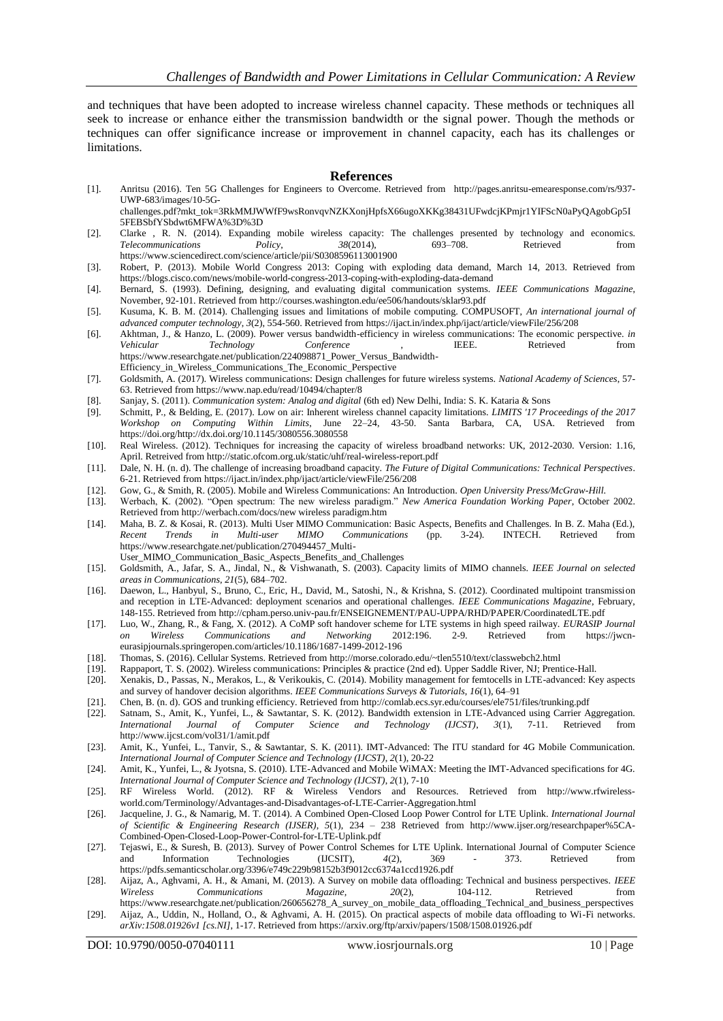and techniques that have been adopted to increase wireless channel capacity. These methods or techniques all seek to increase or enhance either the transmission bandwidth or the signal power. Though the methods or techniques can offer significance increase or improvement in channel capacity, each has its challenges or limitations.

#### **References**

- [1]. Anritsu (2016). Ten 5G Challenges for Engineers to Overcome. Retrieved from [http://pages.anritsu-emearesponse.com/rs/937-](http://pages.anritsu-emearesponse.com/rs/937-UWP-683/images/10-5G-challenges.pdf?mkt_tok=3RkMMJWWfF9wsRonvqvNZKXonjHpfsX66ugoXKKg38431UFwdcjKPmjr1YIFScN0aPyQAgobGp5I5FEBSbfYSbdwt6MFWA%3D%3D) [UWP-683/images/10-5G](http://pages.anritsu-emearesponse.com/rs/937-UWP-683/images/10-5G-challenges.pdf?mkt_tok=3RkMMJWWfF9wsRonvqvNZKXonjHpfsX66ugoXKKg38431UFwdcjKPmjr1YIFScN0aPyQAgobGp5I5FEBSbfYSbdwt6MFWA%3D%3D)
	- challenges.pdf?mkt\_tok=3RkMMJWWfF9wsRonvqvNZKXonjHpfsX66ugoXKKg38431UFwdcjKPmjr1YIFScN0aPyOAgobGp5I [5FEBSbfYSbdwt6MFWA%3D%3D](http://pages.anritsu-emearesponse.com/rs/937-UWP-683/images/10-5G-challenges.pdf?mkt_tok=3RkMMJWWfF9wsRonvqvNZKXonjHpfsX66ugoXKKg38431UFwdcjKPmjr1YIFScN0aPyQAgobGp5I5FEBSbfYSbdwt6MFWA%3D%3D)
- [2]. Clarke , R. N. (2014). Expanding mobile wireless capacity: The challenges presented by technology and economics.<br> *Policy*, 38(2014), 693–708. Retrieved from *Telecommunications Policy*, *38*(2014), 693–708. Retrieved from <https://www.sciencedirect.com/science/article/pii/S0308596113001900>
- [3]. Robert, P. (2013). Mobile World Congress 2013: Coping with exploding data demand, March 14, 2013. Retrieved from <https://blogs.cisco.com/news/mobile-world-congress-2013-coping-with-exploding-data-demand>
- [4]. Bernard, S. (1993). Defining, designing, and evaluating digital communication systems. *IEEE Communications Magazine*, November, 92-101. Retrieved fro[m http://courses.washington.edu/ee506/handouts/sklar93.pdf](http://courses.washington.edu/ee506/handouts/sklar93.pdf)
- [5]. Kusuma, K. B. M. (2014). Challenging issues and limitations of mobile computing. COMPUSOFT, *An international journal of advanced computer technology*, *3*(2), 554-560. Retrieved fro[m https://ijact.in/index.php/ijact/article/viewFile/256/208](https://ijact.in/index.php/ijact/article/viewFile/256/208)
- [6]. Akhtman, J., & Hanzo, L. (2009). Power versus bandwidth-efficiency in wireless communications: The economic perspective. *in Vehicular Technology Conference* , IEEE. Retrieved from [https://www.researchgate.net/publication/224098871\\_Power\\_Versus\\_Bandwidth-](https://www.researchgate.net/publication/224098871_Power_Versus_Bandwidth-Efficiency_in_Wireless_Communications_The_Economic_Perspective)[Efficiency\\_in\\_Wireless\\_Communications\\_The\\_Economic\\_Perspective](https://www.researchgate.net/publication/224098871_Power_Versus_Bandwidth-Efficiency_in_Wireless_Communications_The_Economic_Perspective)
- [7]. Goldsmith, A. (2017). Wireless communications: Design challenges for future wireless systems. *National Academy of Sciences*, 57- 63. Retrieved fro[m https://www.nap.edu/read/10494/chapter/8](https://www.nap.edu/read/10494/chapter/8)
- [8]. Sanjay, S. (2011). *Communication system: Analog and digital* (6th ed) New Delhi, India: S. K. Kataria & Sons
- [9]. Schmitt, P., & Belding, E. (2017). Low on air: Inherent wireless channel capacity limitations. *LIMITS '17 Proceedings of the 2017 Workshop on Computing Within Limits*, June 22–24, 43-50. Santa Barbara, CA, USA. Retrieved from [https://doi.org/http://dx.doi.org/10.1145/3080556.3080558](https://doi.org/http:/dx.doi.org/10.1145/3080556.3080558)
- [10]. Real Wireless. (2012). Techniques for increasing the capacity of wireless broadband networks: UK, 2012-2030. Version: 1.16, April. Retreived fro[m http://static.ofcom.org.uk/static/uhf/real-wireless-report.pdf](http://static.ofcom.org.uk/static/uhf/real-wireless-report.pdf)
- [11]. Dale, N. H. (n. d). The challenge of increasing broadband capacity. *The Future of Digital Communications: Technical Perspectives*. 6-21. Retrieved fro[m https://ijact.in/index.php/ijact/article/viewFile/256/208](https://ijact.in/index.php/ijact/article/viewFile/256/208)
- [12]. Gow, G., & Smith, R. (2005). Mobile and Wireless Communications: An Introduction. *Open University Press/McGraw-Hill*.
- [13]. Werbach, K. (2002). "Open spectrum: The new wireless paradigm." *New America Foundation Working Paper*, October 2002. Retrieved fro[m http://werbach.com/docs/new wireless paradigm.htm](http://werbach.com/docs/new%20wireless%20paradigm.htm)
- [14]. Maha, B. Z. & Kosai, R. (2013). Multi User MIMO Communication: Basic Aspects, Benefits and Challenges. In B. Z. Maha (Ed.), *Recent Trends in Multi-user MIMO Communications* (pp. 3-24). INTECH. Retrieved from [https://www.researchgate.net/publication/270494457\\_Multi-](https://www.researchgate.net/publication/270494457_Multi-User_MIMO_Communication_Basic_Aspects_Benefits_and_Challenges)
- [User\\_MIMO\\_Communication\\_Basic\\_Aspects\\_Benefits\\_and\\_Challenges](https://www.researchgate.net/publication/270494457_Multi-User_MIMO_Communication_Basic_Aspects_Benefits_and_Challenges)
- [15]. Goldsmith, A., Jafar, S. A., Jindal, N., & Vishwanath, S. (2003). Capacity limits of MIMO channels. *IEEE Journal on selected areas in Communications*, *21*(5), 684–702.
- [16]. Daewon, L., Hanbyul, S., Bruno, C., Eric, H., David, M., Satoshi, N., & Krishna, S. (2012). Coordinated multipoint transmission and reception in LTE-Advanced: deployment scenarios and operational challenges. *IEEE Communications Magazine*, February, 148-155. Retrieved fro[m http://cpham.perso.univ-pau.fr/ENSEIGNEMENT/PAU-UPPA/RHD/PAPER/CoordinatedLTE.pdf](http://cpham.perso.univ-pau.fr/ENSEIGNEMENT/PAU-UPPA/RHD/PAPER/CoordinatedLTE.pdf)
- [17]. Luo, W., Zhang, R., & Fang, X. (2012). A CoMP soft handover scheme for LTE systems in high speed railway. *EURASIP Journal on Wireless Communications and Networking* 2012:196. 2-9. Retrieved from [https://jwcn](https://jwcn-eurasipjournals.springeropen.com/articles/10.1186/1687-1499-2012-196)[eurasipjournals.springeropen.com/articles/10.1186/1687-1499-2012-196](https://jwcn-eurasipjournals.springeropen.com/articles/10.1186/1687-1499-2012-196)
- 
- [18]. Thomas, S. (2016). Cellular Systems. Retrieved fro[m http://morse.colorado.edu/~tlen5510/text/classwebch2.html](http://morse.colorado.edu/~tlen5510/text/classwebch2.html) Rappaport, T. S. (2002). Wireless communications: Principles & practice (2nd ed). Upper Saddle River, NJ; Prentice-Hall.
- [20]. Xenakis, D., Passas, N., Merakos, L., & Verikoukis, C. (2014). Mobility management for femtocells in LTE-advanced: Key aspects and survey of handover decision algorithms. *IEEE Communications Surveys & Tutorials*, *16*(1), 64–91
- [21]. Chen, B. (n. d). GOS and trunking efficiency. Retrieved from <http://comlab.ecs.syr.edu/courses/ele751/files/trunking.pdf>
- [22]. Satnam, S., Amit, K., Yunfei, L., & Sawtantar, S. K. (2012). Bandwidth extension in LTE-Advanced using Carrier Aggregation. *International Journal of Computer Science and Technology (IJCST)*, *3*(1), 7-11. Retrieved from <http://www.ijcst.com/vol31/1/amit.pdf>
- [23]. Amit, K., Yunfei, L., Tanvir, S., & Sawtantar, S. K. (2011). IMT-Advanced: The ITU standard for 4G Mobile Communication. *International Journal of Computer Science and Technology (IJCST)*, *2*(1), 20-22
- [24]. Amit, K., Yunfei, L., & Jyotsna, S. (2010). LTE-Advanced and Mobile WiMAX: Meeting the IMT-Advanced specifications for 4G. *International Journal of Computer Science and Technology (IJCST)*, *2*(1), 7-10
- [25]. RF Wireless World. (2012). RF & Wireless Vendors and Resources. Retrieved from [http://www.rfwireless](http://www.rfwireless-world.com/Terminology/Advantages-and-Disadvantages-of-LTE-Carrier-Aggregation.html)[world.com/Terminology/Advantages-and-Disadvantages-of-LTE-Carrier-Aggregation.html](http://www.rfwireless-world.com/Terminology/Advantages-and-Disadvantages-of-LTE-Carrier-Aggregation.html)
- [26]. Jacqueline, J. G., & Namarig, M. T. (2014). A Combined Open-Closed Loop Power Control for LTE Uplink. *International Journal of Scientific & Engineering Research (IJSER)*, *5*(1), 234 – 238 Retrieved from [http://www.ijser.org/researchpaper%5CA-](http://www.ijser.org/researchpaper%5CA-Combined-Open-Closed-Loop-Power-Control-for-LTE-Uplink.pdf)[Combined-Open-Closed-Loop-Power-Control-for-LTE-Uplink.pdf](http://www.ijser.org/researchpaper%5CA-Combined-Open-Closed-Loop-Power-Control-for-LTE-Uplink.pdf)
- [27]. Tejaswi, E., & Suresh, B. (2013). Survey of Power Control Schemes for LTE Uplink. International Journal of Computer Science and Information Technologies (IJCSIT), *4*(2), 369 - 373. Retrieved from <https://pdfs.semanticscholar.org/3396/e749c229b98152b3f9012cc6374a1ccd1926.pdf>
- [28]. Aijaz, A., Aghvami, A. H., & Amani, M. (2013). A Survey on mobile data offloading: Technical and business perspectives. *IEEE Wireless Communications Magazine, 20*(2), 104-112. Retrieved from [https://www.researchgate.net/publication/260656278\\_A\\_survey\\_on\\_mobile\\_data\\_offloading\\_Technical\\_and\\_business\\_perspectives](https://www.researchgate.net/publication/260656278_A_survey_on_mobile_data_offloading_Technical_and_business_perspectives)
- [29]. Aijaz, A., Uddin, N., Holland, O., & Aghvami, A. H. (2015). On practical aspects of mobile data offloading to Wi-Fi networks. *arXiv:1508.01926v1 [cs.NI]*, 1-17. Retrieved fro[m https://arxiv.org/ftp/arxiv/papers/1508/1508.01926.pdf](https://arxiv.org/ftp/arxiv/papers/1508/1508.01926.pdf)